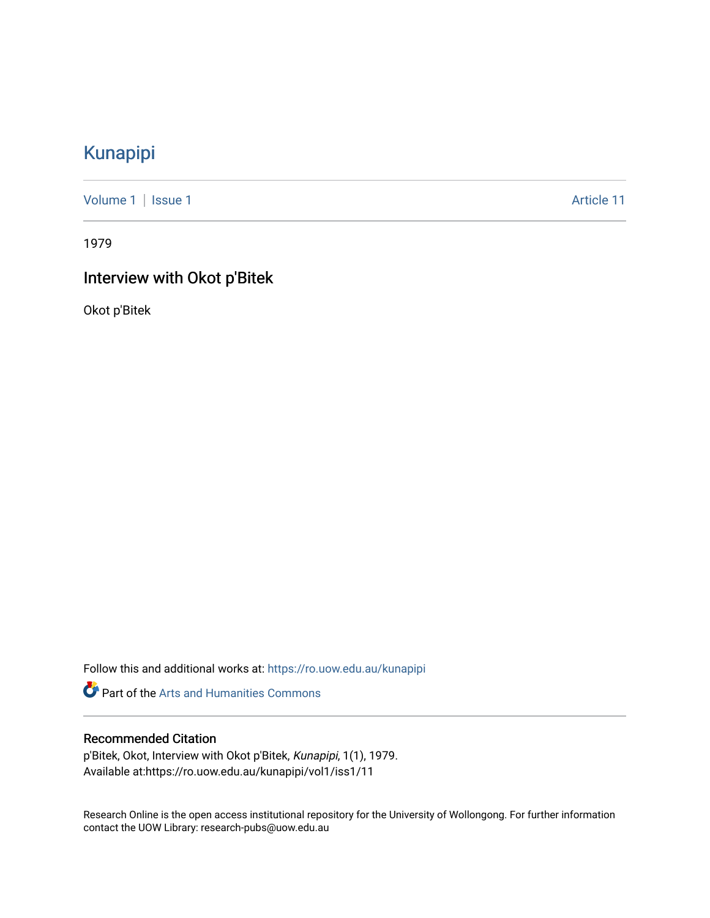# [Kunapipi](https://ro.uow.edu.au/kunapipi)

[Volume 1](https://ro.uow.edu.au/kunapipi/vol1) | [Issue 1](https://ro.uow.edu.au/kunapipi/vol1/iss1) Article 11

1979

# Interview with Okot p'Bitek

Okot p'Bitek

Follow this and additional works at: [https://ro.uow.edu.au/kunapipi](https://ro.uow.edu.au/kunapipi?utm_source=ro.uow.edu.au%2Fkunapipi%2Fvol1%2Fiss1%2F11&utm_medium=PDF&utm_campaign=PDFCoverPages)

Part of the [Arts and Humanities Commons](http://network.bepress.com/hgg/discipline/438?utm_source=ro.uow.edu.au%2Fkunapipi%2Fvol1%2Fiss1%2F11&utm_medium=PDF&utm_campaign=PDFCoverPages) 

## Recommended Citation

p'Bitek, Okot, Interview with Okot p'Bitek, Kunapipi, 1(1), 1979. Available at:https://ro.uow.edu.au/kunapipi/vol1/iss1/11

Research Online is the open access institutional repository for the University of Wollongong. For further information contact the UOW Library: research-pubs@uow.edu.au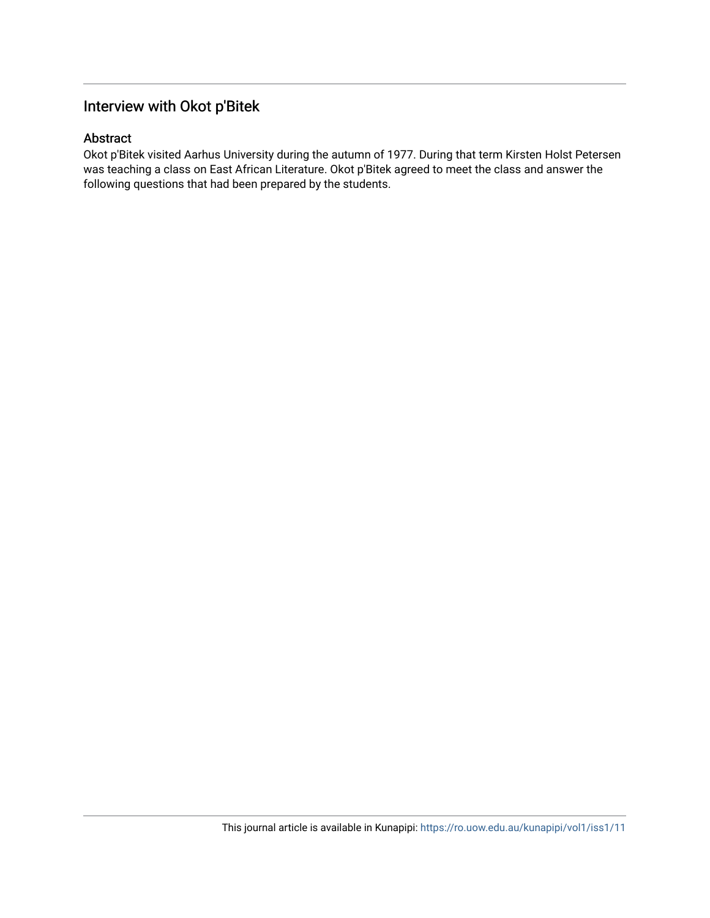# Interview with Okot p'Bitek

## Abstract

Okot p'Bitek visited Aarhus University during the autumn of 1977. During that term Kirsten Holst Petersen was teaching a class on East African Literature. Okot p'Bitek agreed to meet the class and answer the following questions that had been prepared by the students.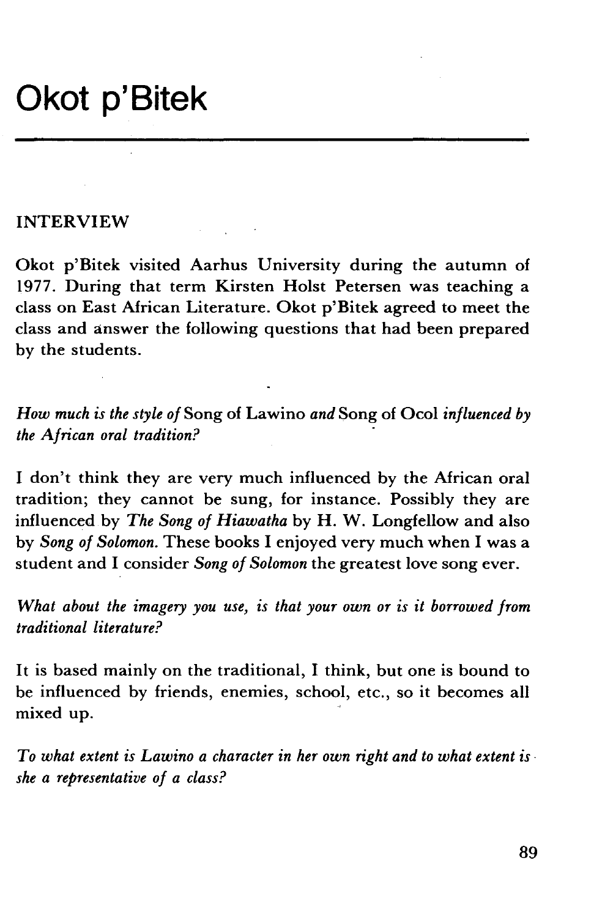# **Okot p'Bitek**

#### INTERVIEW

Okot p'Bitek visited Aarhus University during the autumn of 1977. During that term Kirsten Holst Petersen was teaching a class on East African Literature. Okot p'Bitek agreed to meet the class and answer the following questions that had been prepared by the students.

*How much is the style of* Song of La wino *and* Song of Ocol *influenced by the African oral tradition?* ·

I don't think they are very much influenced by the African oral tradition; they cannot be sung, for instance. Possibly they are influenced by *The Song of Hiawatha* by H. W. Longfellow and also by *Song of Solomon.* These books I enjoyed very much when I was a student and I consider *Song of Solomon* the greatest love song ever.

*What about the imagery you use, is that your own or is it borrowed from traditional literature?* 

It is based mainly on the traditional, I think, but one is bound to be influenced by friends, enemies, school, etc., so it becomes all mixed up.

*To what extent is Lawino a character in her own right and to what extent is· she a representative of a class?*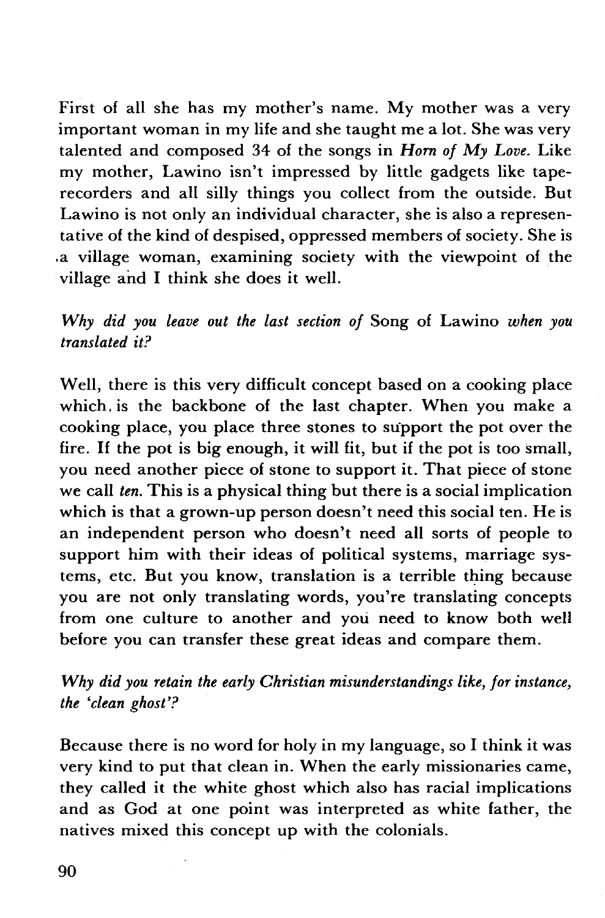First of all she has my mother's name. My mother was a very important woman in my life and she taught me a lot. She was very talented and composed 34 of the songs in *Horn of My Love.* Like my mother, Lawino isn't impressed by little gadgets like taperecorders and all silly things you collect from the outside. But Lawino is not only an individual character, she is also a representative of the kind of despised, oppressed members of society. She is .a village woman, examining society with the viewpoint of the village and I think she does it well.

*Why did you leave out the last section of* Song of Lawino *when you translated it?* 

Well, there is this very difficult concept based on a cooking place which. is the backbone of the last chapter. When you make a cooking place, you place three stones to support the pot over the fire. If the pot is big enough, it will fit, but if the pot is too small, you need another piece of stone to support it. That piece of stone we call *ten.* This is a physical thing but there is a social implication which is that a grown-up person doesn't need this social ten. He is an independent person who doesn't need all sorts of people to support him with their ideas of political systems, marriage systems, etc. But you know, translation is a terrible thing because you are not only translating words, you're translating concepts from one culture to another and you need to know both well before you can transfer these great ideas and compare them.

## *Why did you retain the early Christian misunderstandings like, for instance, the 'clean ghost'?*

Because there is no word for holy in my language, so I think it was very kind to put that clean in. When the early missionaries came, they called it the white ghost which also has racial implications and as God at one point was interpreted as white father, the natives mixed this concept up with the colonials.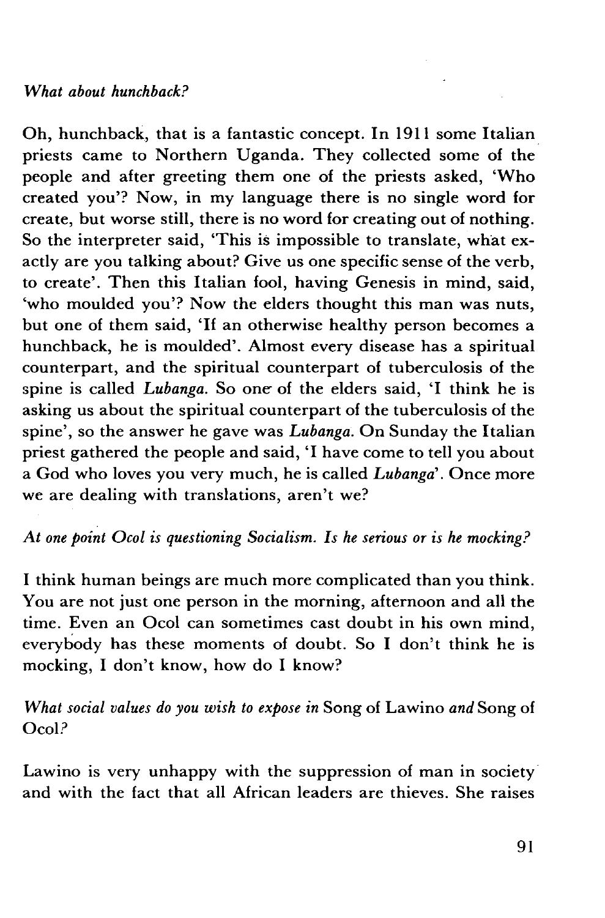Oh, hunchback, that is a fantastic concept. In 1911 some Italian priests came to Northern Uganda. They collected some of the people and after greeting them one of the priests asked, 'Who created you'? Now, in my language there is no single word for create, but worse still, there is no word for creating out of nothing. So the interpreter said, 'This is impossible to translate, what exactly are you talking about? Give us one specific sense of the verb, to create'. Then this Italian fool, having Genesis in mind, said, 'who moulded you'? Now the elders thought this man was nuts, but one of them said, 'If an otherwise healthy person becomes a hunchback, he is moulded'. Almost every disease has a spiritual counterpart, and the spiritual counterpart of tuberculosis of the spine is called *Lubanga.* So one of the elders said, 'I think he is asking us about the spiritual counterpart of the tuberculosis of the spine', so the answer he gave was *Lubanga.* On Sunday the Italian priest gathered the people and said, 'I have come to tell you about a God who loves you very much, he is called *Lubanga'.* Once more we are dealing with translations, aren't we?

*At one point Ocol is questioning Socialism. Is he serious or is he mocking?* 

I think human beings are much more complicated than you think. You are not just one person in the morning, afternoon and all the time. Even an Ocol can sometimes cast doubt in his own mind, everybody has these moments of doubt. So I don't think he is mocking, I don't know, how do I know?

*What social values do you wish to expose in Song of Lawino and Song of* Ocol?

Lawino is very unhappy with the suppression of man in society and with the fact that all African leaders are thieves. She raises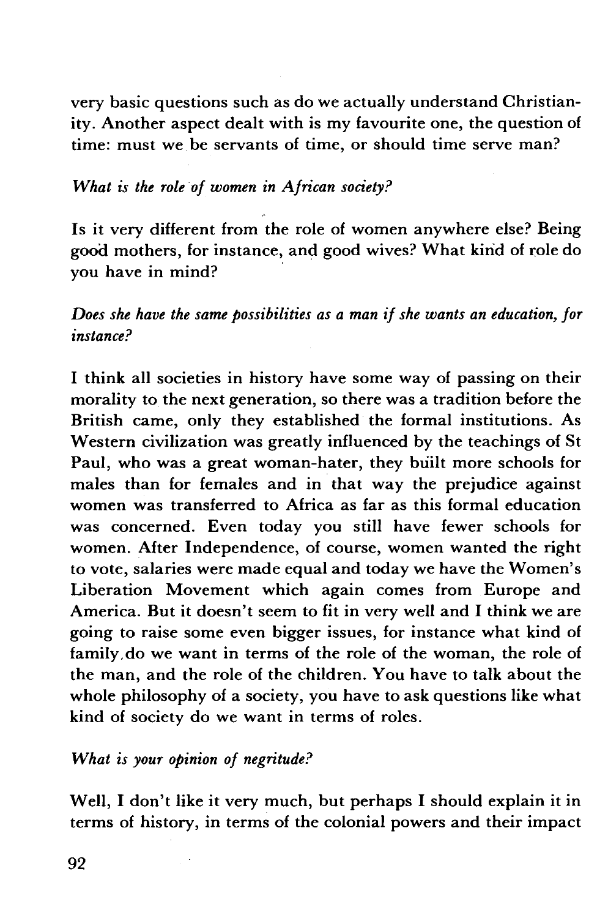very basic questions such as do we actually understand Christianity. Another aspect dealt with is my favourite one, the question of time: must we be servants of time, or should time serve man?

#### *What is the role of women in African society?*

Is it very different from the role of women anywhere else? Being good mothers, for instance, and good wives? What kirid of role do vou have in mind?

*Does she have the same possibilities as a man if she wants an education, for instance?* 

I think all societies in history have some way of passing on their morality to the next generation, so there was a tradition before the British came, only they established the formal institutions. As Western civilization was greatly influenced by the teachings of St Paul, who was a great woman-hater, they built more schools for males than for females and in that way the prejudice against women was transferred to Africa as far as this formal education was concerned. Even today you still have fewer schools for women. After Independence, of course, women wanted the right to vote, salaries were made equal and today we have the Women's Liberation Movement which again comes from Europe and America. But it doesn't seem to fit in very well and I think we are going to raise some even bigger issues, for instance what kind of family.do we want in terms of the role of the woman, the role of the man, and the role of the children. You have to talk about the whole philosophy of a society, you have to ask questions like what kind of society do we want in terms of roles.

#### *What is your opinion of negritude?*

Well, I don't like it very much, but perhaps I should explain it in terms of history, in terms of the colonial powers and their impact